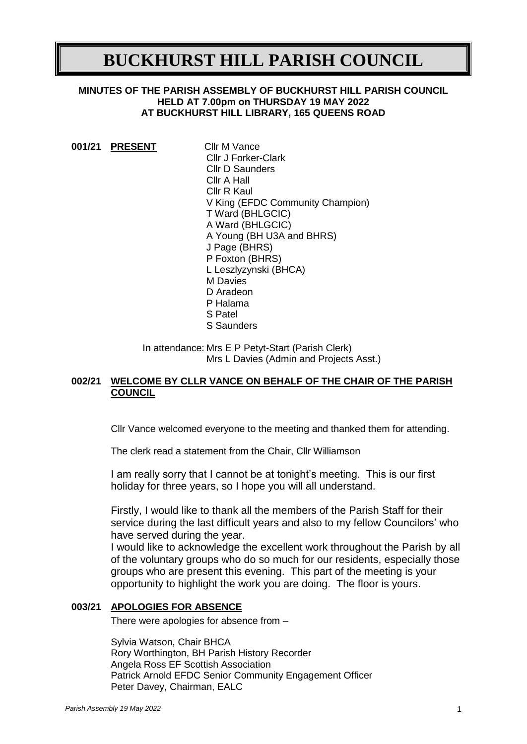# **BUCKHURST HILL PARISH COUNCIL**

## **MINUTES OF THE PARISH ASSEMBLY OF BUCKHURST HILL PARISH COUNCIL HELD AT 7.00pm on THURSDAY 19 MAY 2022 AT BUCKHURST HILL LIBRARY, 165 QUEENS ROAD**

|  | 001/21 PRESENT | Cllr M Vance                     |
|--|----------------|----------------------------------|
|  |                | <b>Cllr J Forker-Clark</b>       |
|  |                | <b>Cllr D Saunders</b>           |
|  |                | Cllr A Hall                      |
|  |                | Cllr R Kaul                      |
|  |                | V King (EFDC Community Champion) |
|  |                | T Ward (BHLGCIC)                 |
|  |                | A Ward (BHLGCIC)                 |
|  |                | A Young (BH U3A and BHRS)        |
|  |                | J Page (BHRS)                    |
|  |                | P Foxton (BHRS)                  |
|  |                | L Leszlyzynski (BHCA)            |
|  |                | M Davies                         |
|  |                | D Aradeon                        |
|  |                | P Halama                         |
|  |                | S Patel                          |
|  |                | S Saunders                       |

In attendance: Mrs E P Petyt-Start (Parish Clerk) Mrs L Davies (Admin and Projects Asst.)

# **002/21 WELCOME BY CLLR VANCE ON BEHALF OF THE CHAIR OF THE PARISH COUNCIL**

Cllr Vance welcomed everyone to the meeting and thanked them for attending.

The clerk read a statement from the Chair, Cllr Williamson

I am really sorry that I cannot be at tonight's meeting. This is our first holiday for three years, so I hope you will all understand.

Firstly, I would like to thank all the members of the Parish Staff for their service during the last difficult years and also to my fellow Councilors' who have served during the year.

I would like to acknowledge the excellent work throughout the Parish by all of the voluntary groups who do so much for our residents, especially those groups who are present this evening. This part of the meeting is your opportunity to highlight the work you are doing. The floor is yours.

# **003/21 APOLOGIES FOR ABSENCE**

There were apologies for absence from –

Sylvia Watson, Chair BHCA Rory Worthington, BH Parish History Recorder Angela Ross EF Scottish Association Patrick Arnold EFDC Senior Community Engagement Officer Peter Davey, Chairman, EALC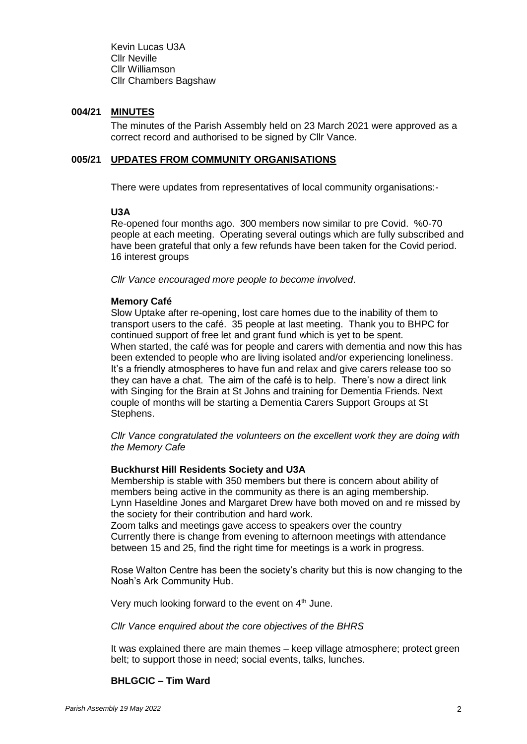Kevin Lucas U3A Cllr Neville Cllr Williamson Cllr Chambers Bagshaw

### **004/21 MINUTES**

The minutes of the Parish Assembly held on 23 March 2021 were approved as a correct record and authorised to be signed by Cllr Vance.

### **005/21 UPDATES FROM COMMUNITY ORGANISATIONS**

There were updates from representatives of local community organisations:-

## **U3A**

Re-opened four months ago. 300 members now similar to pre Covid. %0-70 people at each meeting. Operating several outings which are fully subscribed and have been grateful that only a few refunds have been taken for the Covid period. 16 interest groups

*Cllr Vance encouraged more people to become involved*.

# **Memory Café**

Slow Uptake after re-opening, lost care homes due to the inability of them to transport users to the café. 35 people at last meeting. Thank you to BHPC for continued support of free let and grant fund which is yet to be spent. When started, the café was for people and carers with dementia and now this has been extended to people who are living isolated and/or experiencing loneliness. It's a friendly atmospheres to have fun and relax and give carers release too so they can have a chat. The aim of the café is to help. There's now a direct link with Singing for the Brain at St Johns and training for Dementia Friends. Next couple of months will be starting a Dementia Carers Support Groups at St Stephens.

*Cllr Vance congratulated the volunteers on the excellent work they are doing with the Memory Cafe*

# **Buckhurst Hill Residents Society and U3A**

Membership is stable with 350 members but there is concern about ability of members being active in the community as there is an aging membership. Lynn Haseldine Jones and Margaret Drew have both moved on and re missed by the society for their contribution and hard work.

Zoom talks and meetings gave access to speakers over the country Currently there is change from evening to afternoon meetings with attendance between 15 and 25, find the right time for meetings is a work in progress.

Rose Walton Centre has been the society's charity but this is now changing to the Noah's Ark Community Hub.

Very much looking forward to the event on  $4<sup>th</sup>$  June.

#### *Cllr Vance enquired about the core objectives of the BHRS*

It was explained there are main themes – keep village atmosphere; protect green belt; to support those in need; social events, talks, lunches.

### **BHLGCIC – Tim Ward**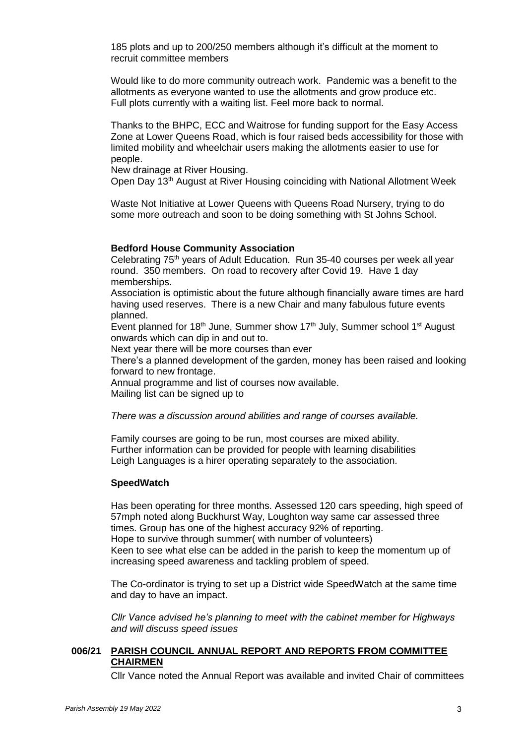185 plots and up to 200/250 members although it's difficult at the moment to recruit committee members

Would like to do more community outreach work. Pandemic was a benefit to the allotments as everyone wanted to use the allotments and grow produce etc. Full plots currently with a waiting list. Feel more back to normal.

Thanks to the BHPC, ECC and Waitrose for funding support for the Easy Access Zone at Lower Queens Road, which is four raised beds accessibility for those with limited mobility and wheelchair users making the allotments easier to use for people.

New drainage at River Housing.

Open Day 13<sup>th</sup> August at River Housing coinciding with National Allotment Week

Waste Not Initiative at Lower Queens with Queens Road Nursery, trying to do some more outreach and soon to be doing something with St Johns School.

#### **Bedford House Community Association**

Celebrating 75<sup>th</sup> years of Adult Education. Run 35-40 courses per week all year round. 350 members. On road to recovery after Covid 19. Have 1 day memberships.

Association is optimistic about the future although financially aware times are hard having used reserves. There is a new Chair and many fabulous future events planned.

Event planned for 18<sup>th</sup> June, Summer show 17<sup>th</sup> July, Summer school 1<sup>st</sup> August onwards which can dip in and out to.

Next year there will be more courses than ever

There's a planned development of the garden, money has been raised and looking forward to new frontage.

Annual programme and list of courses now available.

Mailing list can be signed up to

*There was a discussion around abilities and range of courses available.*

Family courses are going to be run, most courses are mixed ability. Further information can be provided for people with learning disabilities Leigh Languages is a hirer operating separately to the association.

#### **SpeedWatch**

Has been operating for three months. Assessed 120 cars speeding, high speed of 57mph noted along Buckhurst Way, Loughton way same car assessed three times. Group has one of the highest accuracy 92% of reporting. Hope to survive through summer( with number of volunteers) Keen to see what else can be added in the parish to keep the momentum up of increasing speed awareness and tackling problem of speed.

The Co-ordinator is trying to set up a District wide SpeedWatch at the same time and day to have an impact.

*Cllr Vance advised he's planning to meet with the cabinet member for Highways and will discuss speed issues*

# **006/21 PARISH COUNCIL ANNUAL REPORT AND REPORTS FROM COMMITTEE CHAIRMEN**

Cllr Vance noted the Annual Report was available and invited Chair of committees